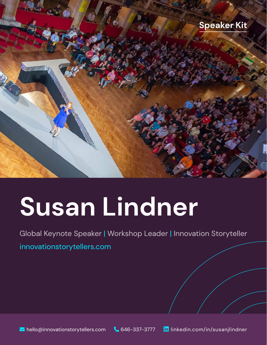

# **Susan Lindner**

Global Keynote Speaker | Workshop Leader | Innovation Storyteller

[innovationstorytellers.com](https://innovationstorytellers.com)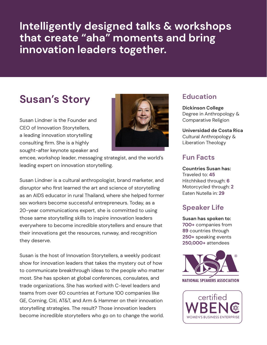**Intelligently designed talks & workshops that create "aha" moments and bring innovation leaders together.**

## **Susan's Story**

Susan Lindner is the Founder and CEO of Innovation Storytellers, a leading innovation storytelling consulting firm. She is a highly sought-after keynote speaker and



emcee, workshop leader, messaging strategist, and the world's leading expert on innovation storytelling.

Susan Lindner is a cultural anthropologist, brand marketer, and disruptor who first learned the art and science of storytelling as an AIDS educator in rural Thailand, where she helped former sex workers become successful entrepreneurs. Today, as a 20-year communications expert, she is committed to using those same storytelling skills to inspire innovation leaders everywhere to become incredible storytellers and ensure that their innovations get the resources, runway, and recognition they deserve.

Susan is the host of Innovation Storytellers, a weekly podcast show for innovation leaders that takes the mystery out of how to communicate breakthrough ideas to the people who matter most. She has spoken at global conferences, consulates, and trade organizations. She has worked with C-level leaders and teams from over 60 countries at Fortune 100 companies like GE, Corning, Citi, AT&T, and Arm & Hammer on their innovation storytelling strategies. The result? Those innovation leaders become incredible storytellers who go on to change the world.

## **Education**

**Dickinson College**  Degree in Anthropology & Comparative Religion

**Universidad de Costa Rica**  Cultural Anthropology & Liberation Theology

### **Fun Facts**

**Countries Susan has:** Traveled to: **45**  Hitchhiked through: **6**  Motorcycled through: **2** Eaten Nutella in: **29**

## **Speaker Life**

**Susan has spoken to: 700+** companies from **89** countries through **250+** speaking events **250,000+** attendees



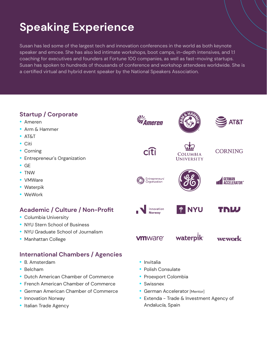# **Speaking Experience**

Susan has led some of the largest tech and innovation conferences in the world as both keynote speaker and emcee. She has also led intimate workshops, boot camps, in-depth intensives, and 1:1 coaching for executives and founders at Fortune 100 companies, as well as fast-moving startups. Susan has spoken to hundreds of thousands of conference and workshop attendees worldwide. She is a certified virtual and hybrid event speaker by the National Speakers Association.

## **Startup / Corporate**

- Ameren
- Arm & Hammer
- AT&T
- Citi
- Corning
- Entrepreneur's Organization
- GE
- TNW
- VMWare
- Waterpik
- WeWork

## **Academic / Culture / Non-Profit**

- Columbia University
- NYU Stern School of Business
- NYU Graduate School of Journalism
- Manhattan College

## **International Chambers / Agencies**

- B. Amsterdam
- Belcham
- Dutch American Chamber of Commerce
- French American Chamber of Commerce
- German American Chamber of Commerce
- Innovation Norway
- Italian Trade Agency

**•** Invitalia

**vm**ware<sup>®</sup>

- Polish Consulate
- Proexport Colombia
- Swissnex
- German Accelerator [Mentor]
- Extenda Trade & Investment Agency of Andalucía, Spain

**SI**Z<br>**ZAmeren** 

 $\widehat{\mathsf{r}}$ 

**Entrepreneurs** entreprenear<br>Organization

Innovation

Norway





COLUMBIA **UNIVERSITY** 

**CORNING** 



I NYU

waterpik



TNW

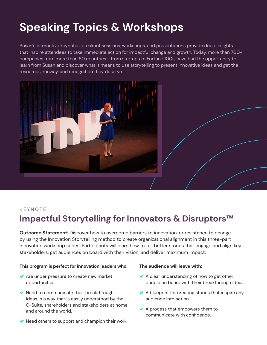# **Speaking Topics & Workshops**

Susan's interactive keynotes, breakout sessions, workshops, and presentations provide deep insights that inspire attendees to take immediate action for impactful change and growth. Today, more than 700+ companies from more than 60 countries - from startups to Fortune 100s, have had the opportunity to learn from Susan and discover what it means to use storytelling to present innovative ideas and get the resources, runway, and recognition they deserve.



#### KEYNOTE

## **Impactful Storytelling for Innovators & Disruptors™**

**Outcome Statement:** Discover how to overcome barriers to innovation, or resistance to change, by using the Innovation Storytelling method to create organizational alignment in this three-part innovation workshop series. Participants will learn how to tell better stories that engage and align key stakeholders, get audiences on board with their vision, and deliver maximum impact.

#### **This program is perfect for innovation leaders who:**

- ◆ Are under pressure to create new market opportunities.
- $\vee$  Need to communicate their breakthrough ideas in a way that is easily understood by the C-Suite, shareholders and stakeholders at home and around the world.
- $\vee$  Need others to support and champion their work.

#### **The audience will leave with:**

- $\vee$  A clear understanding of how to get other people on board with their breakthrough ideas.
- $\blacktriangleright$  A blueprint for creating stories that inspire any audience into action.
- $\vee$  A process that empowers them to communicate with confidence.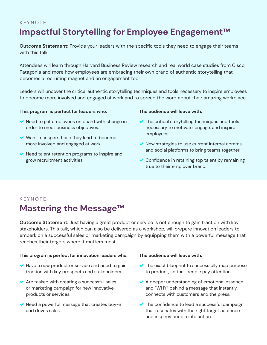## KEYNOTE **Impactful Storytelling for Employee Engagement™**

**Outcome Statement:** Provide your leaders with the specific tools they need to engage their teams with this talk.

Attendees will learn through Harvard Business Review research and real world case studies from Cisco, Patagonia and more how employees are embracing their own brand of authentic storytelling that becomes a recruiting magnet and an engagement tool.

Leaders will uncover the critical authentic storytelling techniques and tools necessary to inspire employees to become more involved and engaged at work and to spread the word about their amazing workplace.

#### **This program is perfect for leaders who:**

- $\vee$  Need to get employees on board with change in order to meet business objectives.
- $\blacktriangleright$  Want to inspire those they lead to become more involved and engaged at work.
- $\vee$  Need talent retention programs to inspire and grow recruitment activities.

#### **The audience will leave with:**

- $\blacktriangleright$  The critical storytelling techniques and tools necessary to motivate, engage, and inspire employees.
- $\vee$  New strategies to use current internal comms and social platforms to bring teams together.
- Confidence in retaining top talent by remaining true to their employer brand.

## KEYNOTE **Mastering the Message™**

**Outcome Statement:** Just having a great product or service is not enough to gain traction with key stakeholders. This talk, which can also be delivered as a workshop, will prepare innovation leaders to embark on a successful sales or marketing campaign by equipping them with a powerful message that reaches their targets where it matters most.

#### **This program is perfect for innovation leaders who:**

- $\blacktriangleright$  Have a new product or service and need to gain traction with key prospects and stakeholders.
- $\blacktriangleright$  Are tasked with creating a successful sales or marketing campaign for new innovative products or services.
- $\vee$  Need a powerful message that creates buy-in and drives sales.

#### **The audience will leave with:**

- $\blacktriangleright$  The exact blueprint to successfully map purpose to product, so that people pay attention.
- $\blacktriangleright$  A deeper understanding of emotional essence and "WHY" behind a message that instantly connects with customers and the press.
- $\blacktriangleright$  The confidence to lead a successful campaign that resonates with the right target audience and inspires people into action.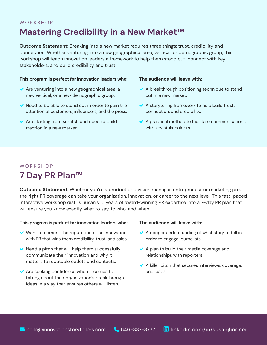## **WORKSHOP Mastering Credibility in a New Market™**

**Outcome Statement:** Breaking into a new market requires three things: trust, credibility and connection. Whether venturing into a new geographical area, vertical, or demographic group, this workshop will teach innovation leaders a framework to help them stand out, connect with key stakeholders, and build credibility and trust.

#### **This program is perfect for innovation leaders who:**

- $\blacktriangleright$  Are venturing into a new geographical area, a new vertical, or a new demographic group.
- $\blacktriangleright$  Need to be able to stand out in order to gain the attention of customers, influencers, and the press.
- $\blacktriangleright$  Are starting from scratch and need to build traction in a new market.

#### **The audience will leave with:**

- $\blacktriangleright$  A breakthrough positioning technique to stand out in a new market.
- $\blacktriangleright$  A storytelling framework to help build trust, connection, and credibility.
- $\blacktriangleright$  A practical method to facilitate communications with key stakeholders.

## **WORKSHOP 7 Day PR Plan™**

**Outcome Statement:** Whether you're a product or division manager, entrepreneur or marketing pro, the right PR coverage can take your organization, innovation, or career to the next level. This fast-paced interactive workshop distills Susan's 15 years of award-winning PR expertise into a 7-day PR plan that will ensure you know exactly what to say, to who, and when.

#### **This program is perfect for innovation leaders who:**

- $\vee$  Want to cement the reputation of an innovation with PR that wins them credibility, trust, and sales.
- $\blacktriangleright$  Need a pitch that will help them successfully communicate their innovation and why it matters to reputable outlets and contacts.
- $\blacktriangleright$  Are seeking confidence when it comes to talking about their organization's breakthrough ideas in a way that ensures others will listen.

#### **The audience will leave with:**

- $\blacktriangleright$  A deeper understanding of what story to tell in order to engage journalists.
- $\blacktriangleright$  A plan to build their media coverage and relationships with reporters.
- $\blacktriangleright$  A killer pitch that secures interviews, coverage, and leads.